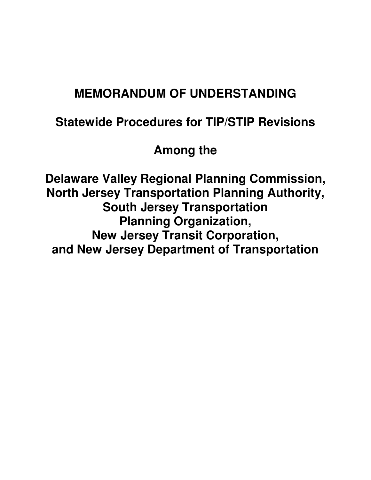# **MEMORANDUM OF UNDERSTANDING**

## **Statewide Procedures for TIP/STIP Revisions**

**Among the** 

**Delaware Valley Regional Planning Commission, North Jersey Transportation Planning Authority, South Jersey Transportation Planning Organization, New Jersey Transit Corporation, and New Jersey Department of Transportation**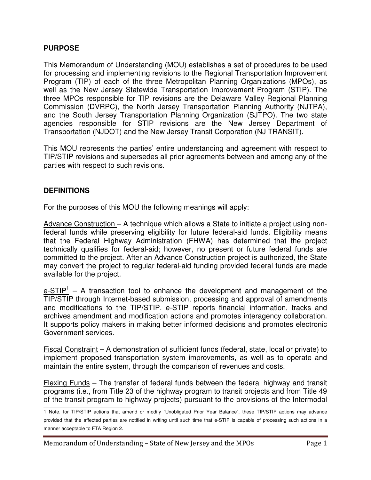#### **PURPOSE**

This Memorandum of Understanding (MOU) establishes a set of procedures to be used for processing and implementing revisions to the Regional Transportation Improvement Program (TIP) of each of the three Metropolitan Planning Organizations (MPOs), as well as the New Jersey Statewide Transportation Improvement Program (STIP). The three MPOs responsible for TIP revisions are the Delaware Valley Regional Planning Commission (DVRPC), the North Jersey Transportation Planning Authority (NJTPA), and the South Jersey Transportation Planning Organization (SJTPO). The two state agencies responsible for STIP revisions are the New Jersey Department of Transportation (NJDOT) and the New Jersey Transit Corporation (NJ TRANSIT).

This MOU represents the parties' entire understanding and agreement with respect to TIP/STIP revisions and supersedes all prior agreements between and among any of the parties with respect to such revisions.

#### **DEFINITIONS**

For the purposes of this MOU the following meanings will apply:

Advance Construction – A technique which allows a State to initiate a project using nonfederal funds while preserving eligibility for future federal-aid funds. Eligibility means that the Federal Highway Administration (FHWA) has determined that the project technically qualifies for federal-aid; however, no present or future federal funds are committed to the project. After an Advance Construction project is authorized, the State may convert the project to regular federal-aid funding provided federal funds are made available for the project.

 $e$ -STIP<sup>1</sup> – A transaction tool to enhance the development and management of the TIP/STIP through Internet-based submission, processing and approval of amendments and modifications to the TIP/STIP. e-STIP reports financial information, tracks and archives amendment and modification actions and promotes interagency collaboration. It supports policy makers in making better informed decisions and promotes electronic Government services.

Fiscal Constraint – A demonstration of sufficient funds (federal, state, local or private) to implement proposed transportation system improvements, as well as to operate and maintain the entire system, through the comparison of revenues and costs.

Flexing Funds – The transfer of federal funds between the federal highway and transit programs (i.e., from Title 23 of the highway program to transit projects and from Title 49 of the transit program to highway projects) pursuant to the provisions of the Intermodal  $\overline{a}$ 

<sup>1</sup> Note, for TIP/STIP actions that amend or modify "Unobligated Prior Year Balance", these TIP/STIP actions may advance provided that the affected parties are notified in writing until such time that e-STIP is capable of processing such actions in a manner acceptable to FTA Region 2.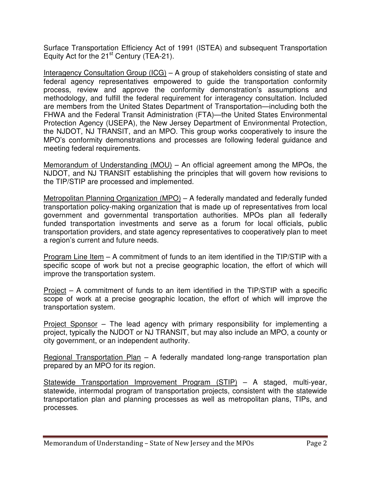Surface Transportation Efficiency Act of 1991 (ISTEA) and subsequent Transportation Equity Act for the  $21<sup>st</sup>$  Century (TEA-21).

Interagency Consultation Group (ICG) – A group of stakeholders consisting of state and federal agency representatives empowered to guide the transportation conformity process, review and approve the conformity demonstration's assumptions and methodology, and fulfill the federal requirement for interagency consultation. Included are members from the United States Department of Transportation—including both the FHWA and the Federal Transit Administration (FTA)—the United States Environmental Protection Agency (USEPA), the New Jersey Department of Environmental Protection, the NJDOT, NJ TRANSIT, and an MPO. This group works cooperatively to insure the MPO's conformity demonstrations and processes are following federal guidance and meeting federal requirements.

Memorandum of Understanding (MOU) – An official agreement among the MPOs, the NJDOT, and NJ TRANSIT establishing the principles that will govern how revisions to the TIP/STIP are processed and implemented.

Metropolitan Planning Organization (MPO) – A federally mandated and federally funded transportation policy-making organization that is made up of representatives from local government and governmental transportation authorities. MPOs plan all federally funded transportation investments and serve as a forum for local officials, public transportation providers, and state agency representatives to cooperatively plan to meet a region's current and future needs.

Program Line Item – A commitment of funds to an item identified in the TIP/STIP with a specific scope of work but not a precise geographic location, the effort of which will improve the transportation system.

Project – A commitment of funds to an item identified in the TIP/STIP with a specific scope of work at a precise geographic location, the effort of which will improve the transportation system.

Project Sponsor – The lead agency with primary responsibility for implementing a project, typically the NJDOT or NJ TRANSIT, but may also include an MPO, a county or city government, or an independent authority.

Regional Transportation Plan – A federally mandated long-range transportation plan prepared by an MPO for its region.

Statewide Transportation Improvement Program (STIP) – A staged, multi-year, statewide, intermodal program of transportation projects, consistent with the statewide transportation plan and planning processes as well as metropolitan plans, TIPs, and processes.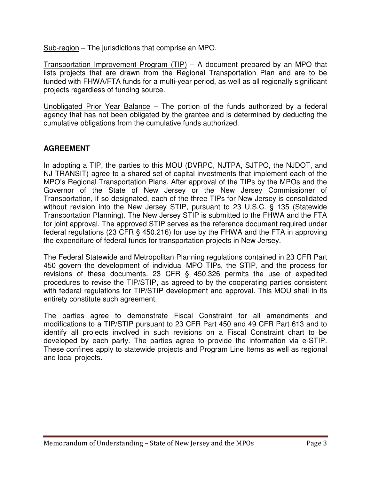Sub-region – The jurisdictions that comprise an MPO.

Transportation Improvement Program (TIP) – A document prepared by an MPO that lists projects that are drawn from the Regional Transportation Plan and are to be funded with FHWA/FTA funds for a multi-year period, as well as all regionally significant projects regardless of funding source.

Unobligated Prior Year Balance – The portion of the funds authorized by a federal agency that has not been obligated by the grantee and is determined by deducting the cumulative obligations from the cumulative funds authorized.

## **AGREEMENT**

In adopting a TIP, the parties to this MOU (DVRPC, NJTPA, SJTPO, the NJDOT, and NJ TRANSIT) agree to a shared set of capital investments that implement each of the MPO's Regional Transportation Plans. After approval of the TIPs by the MPOs and the Governor of the State of New Jersey or the New Jersey Commissioner of Transportation, if so designated, each of the three TIPs for New Jersey is consolidated without revision into the New Jersey STIP, pursuant to 23 U.S.C. § 135 (Statewide Transportation Planning). The New Jersey STIP is submitted to the FHWA and the FTA for joint approval. The approved STIP serves as the reference document required under federal regulations (23 CFR § 450.216) for use by the FHWA and the FTA in approving the expenditure of federal funds for transportation projects in New Jersey.

The Federal Statewide and Metropolitan Planning regulations contained in 23 CFR Part 450 govern the development of individual MPO TIPs, the STIP, and the process for revisions of these documents. 23 CFR § 450.326 permits the use of expedited procedures to revise the TIP/STIP, as agreed to by the cooperating parties consistent with federal regulations for TIP/STIP development and approval. This MOU shall in its entirety constitute such agreement.

The parties agree to demonstrate Fiscal Constraint for all amendments and modifications to a TIP/STIP pursuant to 23 CFR Part 450 and 49 CFR Part 613 and to identify all projects involved in such revisions on a Fiscal Constraint chart to be developed by each party. The parties agree to provide the information via e-STIP. These confines apply to statewide projects and Program Line Items as well as regional and local projects.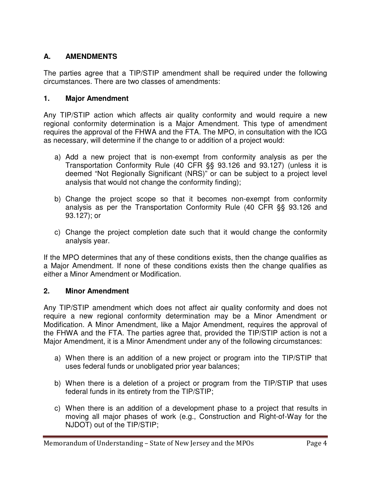## **A. AMENDMENTS**

The parties agree that a TIP/STIP amendment shall be required under the following circumstances. There are two classes of amendments:

## **1. Major Amendment**

Any TIP/STIP action which affects air quality conformity and would require a new regional conformity determination is a Major Amendment. This type of amendment requires the approval of the FHWA and the FTA. The MPO, in consultation with the ICG as necessary, will determine if the change to or addition of a project would:

- a) Add a new project that is non-exempt from conformity analysis as per the Transportation Conformity Rule (40 CFR §§ 93.126 and 93.127) (unless it is deemed "Not Regionally Significant (NRS)" or can be subject to a project level analysis that would not change the conformity finding);
- b) Change the project scope so that it becomes non-exempt from conformity analysis as per the Transportation Conformity Rule (40 CFR §§ 93.126 and 93.127); or
- c) Change the project completion date such that it would change the conformity analysis year.

If the MPO determines that any of these conditions exists, then the change qualifies as a Major Amendment. If none of these conditions exists then the change qualifies as either a Minor Amendment or Modification.

#### **2. Minor Amendment**

Any TIP/STIP amendment which does not affect air quality conformity and does not require a new regional conformity determination may be a Minor Amendment or Modification. A Minor Amendment, like a Major Amendment, requires the approval of the FHWA and the FTA. The parties agree that, provided the TIP/STIP action is not a Major Amendment, it is a Minor Amendment under any of the following circumstances:

- a) When there is an addition of a new project or program into the TIP/STIP that uses federal funds or unobligated prior year balances;
- b) When there is a deletion of a project or program from the TIP/STIP that uses federal funds in its entirety from the TIP/STIP;
- c) When there is an addition of a development phase to a project that results in moving all major phases of work (e.g., Construction and Right-of-Way for the NJDOT) out of the TIP/STIP;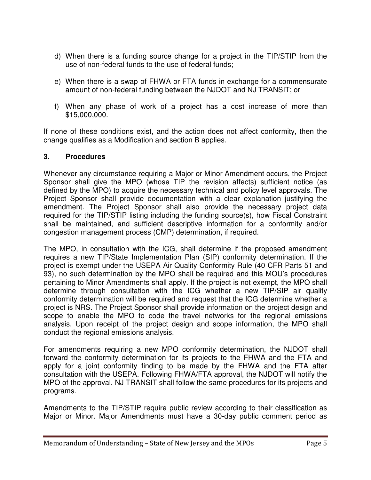- d) When there is a funding source change for a project in the TIP/STIP from the use of non-federal funds to the use of federal funds;
- e) When there is a swap of FHWA or FTA funds in exchange for a commensurate amount of non-federal funding between the NJDOT and NJ TRANSIT; or
- f) When any phase of work of a project has a cost increase of more than \$15,000,000.

If none of these conditions exist, and the action does not affect conformity, then the change qualifies as a Modification and section B applies.

#### **3. Procedures**

Whenever any circumstance requiring a Major or Minor Amendment occurs, the Project Sponsor shall give the MPO (whose TIP the revision affects) sufficient notice (as defined by the MPO) to acquire the necessary technical and policy level approvals. The Project Sponsor shall provide documentation with a clear explanation justifying the amendment. The Project Sponsor shall also provide the necessary project data required for the TIP/STIP listing including the funding source(s), how Fiscal Constraint shall be maintained, and sufficient descriptive information for a conformity and/or congestion management process (CMP) determination, if required.

The MPO, in consultation with the ICG, shall determine if the proposed amendment requires a new TIP/State Implementation Plan (SIP) conformity determination. If the project is exempt under the USEPA Air Quality Conformity Rule (40 CFR Parts 51 and 93), no such determination by the MPO shall be required and this MOU's procedures pertaining to Minor Amendments shall apply. If the project is not exempt, the MPO shall determine through consultation with the ICG whether a new TIP/SIP air quality conformity determination will be required and request that the ICG determine whether a project is NRS. The Project Sponsor shall provide information on the project design and scope to enable the MPO to code the travel networks for the regional emissions analysis. Upon receipt of the project design and scope information, the MPO shall conduct the regional emissions analysis.

For amendments requiring a new MPO conformity determination, the NJDOT shall forward the conformity determination for its projects to the FHWA and the FTA and apply for a joint conformity finding to be made by the FHWA and the FTA after consultation with the USEPA. Following FHWA/FTA approval, the NJDOT will notify the MPO of the approval. NJ TRANSIT shall follow the same procedures for its projects and programs.

Amendments to the TIP/STIP require public review according to their classification as Major or Minor. Major Amendments must have a 30-day public comment period as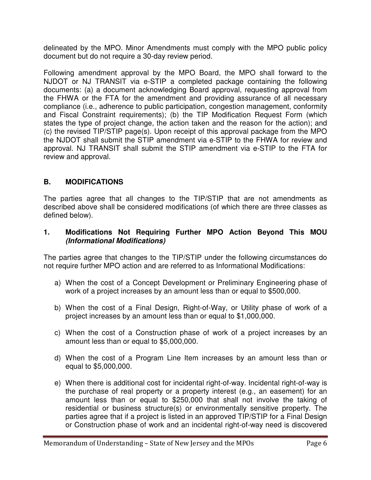delineated by the MPO. Minor Amendments must comply with the MPO public policy document but do not require a 30-day review period.

Following amendment approval by the MPO Board, the MPO shall forward to the NJDOT or NJ TRANSIT via e-STIP a completed package containing the following documents: (a) a document acknowledging Board approval, requesting approval from the FHWA or the FTA for the amendment and providing assurance of all necessary compliance (i.e., adherence to public participation, congestion management, conformity and Fiscal Constraint requirements); (b) the TIP Modification Request Form (which states the type of project change, the action taken and the reason for the action); and (c) the revised TIP/STIP page(s). Upon receipt of this approval package from the MPO the NJDOT shall submit the STIP amendment via e-STIP to the FHWA for review and approval. NJ TRANSIT shall submit the STIP amendment via e-STIP to the FTA for review and approval.

## **B. MODIFICATIONS**

The parties agree that all changes to the TIP/STIP that are not amendments as described above shall be considered modifications (of which there are three classes as defined below).

#### **1. Modifications Not Requiring Further MPO Action Beyond This MOU (Informational Modifications)**

The parties agree that changes to the TIP/STIP under the following circumstances do not require further MPO action and are referred to as Informational Modifications:

- a) When the cost of a Concept Development or Preliminary Engineering phase of work of a project increases by an amount less than or equal to \$500,000.
- b) When the cost of a Final Design, Right-of-Way, or Utility phase of work of a project increases by an amount less than or equal to \$1,000,000.
- c) When the cost of a Construction phase of work of a project increases by an amount less than or equal to \$5,000,000.
- d) When the cost of a Program Line Item increases by an amount less than or equal to \$5,000,000.
- e) When there is additional cost for incidental right-of-way. Incidental right-of-way is the purchase of real property or a property interest (e.g., an easement) for an amount less than or equal to \$250,000 that shall not involve the taking of residential or business structure(s) or environmentally sensitive property. The parties agree that if a project is listed in an approved TIP/STIP for a Final Design or Construction phase of work and an incidental right-of-way need is discovered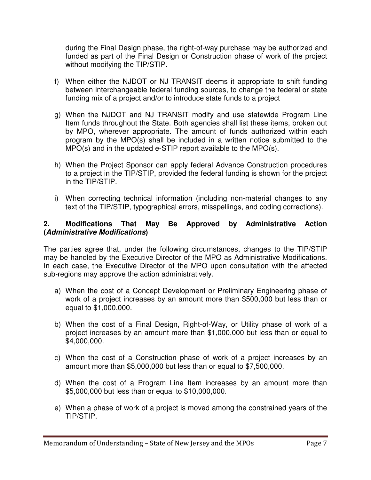during the Final Design phase, the right-of-way purchase may be authorized and funded as part of the Final Design or Construction phase of work of the project without modifying the TIP/STIP.

- f) When either the NJDOT or NJ TRANSIT deems it appropriate to shift funding between interchangeable federal funding sources, to change the federal or state funding mix of a project and/or to introduce state funds to a project
- g) When the NJDOT and NJ TRANSIT modify and use statewide Program Line Item funds throughout the State. Both agencies shall list these items, broken out by MPO, wherever appropriate. The amount of funds authorized within each program by the MPO(s) shall be included in a written notice submitted to the MPO(s) and in the updated e-STIP report available to the MPO(s).
- h) When the Project Sponsor can apply federal Advance Construction procedures to a project in the TIP/STIP, provided the federal funding is shown for the project in the TIP/STIP.
- i) When correcting technical information (including non-material changes to any text of the TIP/STIP, typographical errors, misspellings, and coding corrections).

#### **2. Modifications That May Be Approved by Administrative Action (Administrative Modifications)**

The parties agree that, under the following circumstances, changes to the TIP/STIP may be handled by the Executive Director of the MPO as Administrative Modifications. In each case, the Executive Director of the MPO upon consultation with the affected sub-regions may approve the action administratively.

- a) When the cost of a Concept Development or Preliminary Engineering phase of work of a project increases by an amount more than \$500,000 but less than or equal to \$1,000,000.
- b) When the cost of a Final Design, Right-of-Way, or Utility phase of work of a project increases by an amount more than \$1,000,000 but less than or equal to \$4,000,000.
- c) When the cost of a Construction phase of work of a project increases by an amount more than \$5,000,000 but less than or equal to \$7,500,000.
- d) When the cost of a Program Line Item increases by an amount more than \$5,000,000 but less than or equal to \$10,000,000.
- e) When a phase of work of a project is moved among the constrained years of the TIP/STIP.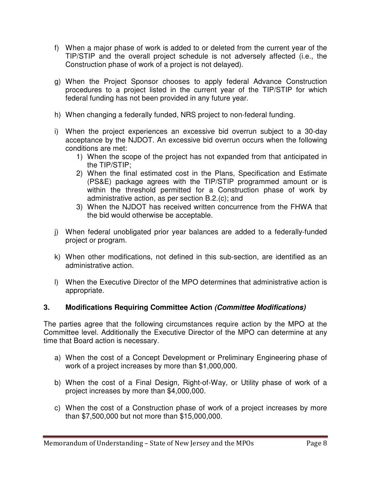- f) When a major phase of work is added to or deleted from the current year of the TIP/STIP and the overall project schedule is not adversely affected (i.e., the Construction phase of work of a project is not delayed).
- g) When the Project Sponsor chooses to apply federal Advance Construction procedures to a project listed in the current year of the TIP/STIP for which federal funding has not been provided in any future year.
- h) When changing a federally funded, NRS project to non-federal funding.
- i) When the project experiences an excessive bid overrun subject to a 30-day acceptance by the NJDOT. An excessive bid overrun occurs when the following conditions are met:
	- 1) When the scope of the project has not expanded from that anticipated in the TIP/STIP;
	- 2) When the final estimated cost in the Plans, Specification and Estimate (PS&E) package agrees with the TIP/STIP programmed amount or is within the threshold permitted for a Construction phase of work by administrative action, as per section B.2.(c); and
	- 3) When the NJDOT has received written concurrence from the FHWA that the bid would otherwise be acceptable.
- j) When federal unobligated prior year balances are added to a federally-funded project or program.
- k) When other modifications, not defined in this sub-section, are identified as an administrative action.
- l) When the Executive Director of the MPO determines that administrative action is appropriate.

## **3. Modifications Requiring Committee Action (Committee Modifications)**

The parties agree that the following circumstances require action by the MPO at the Committee level. Additionally the Executive Director of the MPO can determine at any time that Board action is necessary.

- a) When the cost of a Concept Development or Preliminary Engineering phase of work of a project increases by more than \$1,000,000.
- b) When the cost of a Final Design, Right-of-Way, or Utility phase of work of a project increases by more than \$4,000,000.
- c) When the cost of a Construction phase of work of a project increases by more than \$7,500,000 but not more than \$15,000,000.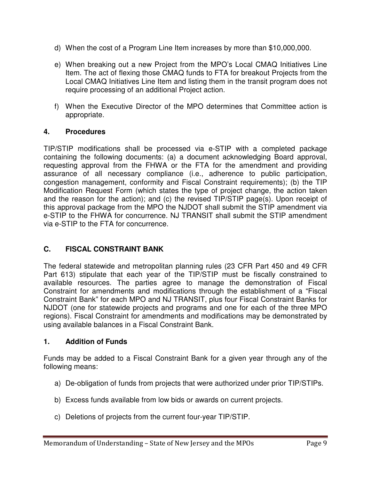- d) When the cost of a Program Line Item increases by more than \$10,000,000.
- e) When breaking out a new Project from the MPO's Local CMAQ Initiatives Line Item. The act of flexing those CMAQ funds to FTA for breakout Projects from the Local CMAQ Initiatives Line Item and listing them in the transit program does not require processing of an additional Project action.
- f) When the Executive Director of the MPO determines that Committee action is appropriate.

## **4. Procedures**

TIP/STIP modifications shall be processed via e-STIP with a completed package containing the following documents: (a) a document acknowledging Board approval, requesting approval from the FHWA or the FTA for the amendment and providing assurance of all necessary compliance (i.e., adherence to public participation, congestion management, conformity and Fiscal Constraint requirements); (b) the TIP Modification Request Form (which states the type of project change, the action taken and the reason for the action); and (c) the revised TIP/STIP page(s). Upon receipt of this approval package from the MPO the NJDOT shall submit the STIP amendment via e-STIP to the FHWA for concurrence. NJ TRANSIT shall submit the STIP amendment via e-STIP to the FTA for concurrence.

## **C. FISCAL CONSTRAINT BANK**

The federal statewide and metropolitan planning rules (23 CFR Part 450 and 49 CFR Part 613) stipulate that each year of the TIP/STIP must be fiscally constrained to available resources. The parties agree to manage the demonstration of Fiscal Constraint for amendments and modifications through the establishment of a "Fiscal Constraint Bank" for each MPO and NJ TRANSIT, plus four Fiscal Constraint Banks for NJDOT (one for statewide projects and programs and one for each of the three MPO regions). Fiscal Constraint for amendments and modifications may be demonstrated by using available balances in a Fiscal Constraint Bank.

## **1. Addition of Funds**

Funds may be added to a Fiscal Constraint Bank for a given year through any of the following means:

- a) De-obligation of funds from projects that were authorized under prior TIP/STIPs.
- b) Excess funds available from low bids or awards on current projects.
- c) Deletions of projects from the current four-year TIP/STIP.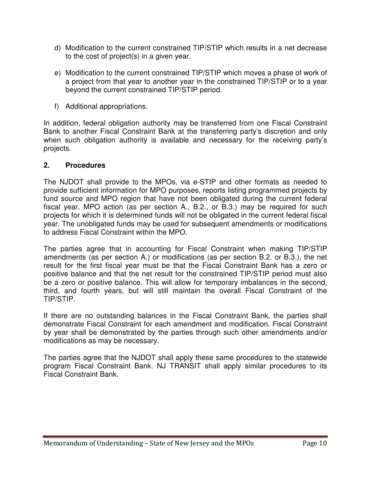- d) Modification to the current constrained TIP/STIP which results in a net decrease to the cost of project(s) in a given year.
- e) Modification to the current constrained TIP/STIP which moves a phase of work of a project from that year to another year in the constrained TIP/STIP or to a year beyond the current constrained TIP/STIP period.
- f) Additional appropriations.

In addition, federal obligation authority may be transferred from one Fiscal Constraint Bank to another Fiscal Constraint Bank at the transferring party's discretion and only when such obligation authority is available and necessary for the receiving party's projects.

#### **2. Procedures**

The NJDOT shall provide to the MPOs, via e-STIP and other formats as needed to provide sufficient information for MPO purposes, reports listing programmed projects by fund source and MPO region that have not been obligated during the current federal fiscal year. MPO action (as per section A., B.2., or B.3.) may be required for such projects for which it is determined funds will not be obligated in the current federal fiscal year. The unobligated funds may be used for subsequent amendments or modifications to address Fiscal Constraint within the MPO.

The parties agree that in accounting for Fiscal Constraint when making TIP/STIP amendments (as per section A.) or modifications (as per section B.2. or B.3.), the net result for the first fiscal year must be that the Fiscal Constraint Bank has a zero or positive balance and that the net result for the constrained TIP/STIP period must also be a zero or positive balance. This will allow for temporary imbalances in the second, third, and fourth years, but will still maintain the overall Fiscal Constraint of the TIP/STIP.

If there are no outstanding balances in the Fiscal Constraint Bank, the parties shall demonstrate Fiscal Constraint for each amendment and modification. Fiscal Constraint by year shall be demonstrated by the parties through such other amendments and/or modifications as may be necessary.

The parties agree that the NJDOT shall apply these same procedures to the statewide program Fiscal Constraint Bank. NJ TRANSIT shall apply similar procedures to its Fiscal Constraint Bank.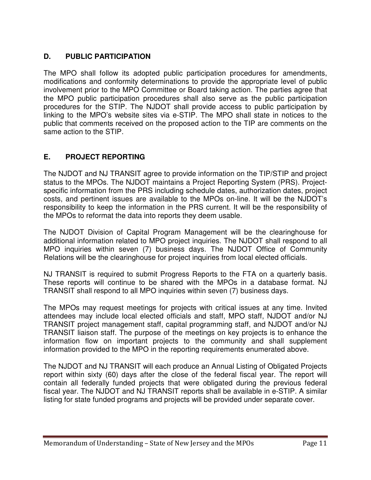## **D. PUBLIC PARTICIPATION**

The MPO shall follow its adopted public participation procedures for amendments, modifications and conformity determinations to provide the appropriate level of public involvement prior to the MPO Committee or Board taking action. The parties agree that the MPO public participation procedures shall also serve as the public participation procedures for the STIP. The NJDOT shall provide access to public participation by linking to the MPO's website sites via e-STIP. The MPO shall state in notices to the public that comments received on the proposed action to the TIP are comments on the same action to the STIP.

## **E. PROJECT REPORTING**

The NJDOT and NJ TRANSIT agree to provide information on the TIP/STIP and project status to the MPOs. The NJDOT maintains a Project Reporting System (PRS). Projectspecific information from the PRS including schedule dates, authorization dates, project costs, and pertinent issues are available to the MPOs on-line. It will be the NJDOT's responsibility to keep the information in the PRS current. It will be the responsibility of the MPOs to reformat the data into reports they deem usable.

The NJDOT Division of Capital Program Management will be the clearinghouse for additional information related to MPO project inquiries. The NJDOT shall respond to all MPO inquiries within seven (7) business days. The NJDOT Office of Community Relations will be the clearinghouse for project inquiries from local elected officials.

NJ TRANSIT is required to submit Progress Reports to the FTA on a quarterly basis. These reports will continue to be shared with the MPOs in a database format. NJ TRANSIT shall respond to all MPO inquiries within seven (7) business days.

The MPOs may request meetings for projects with critical issues at any time. Invited attendees may include local elected officials and staff, MPO staff, NJDOT and/or NJ TRANSIT project management staff, capital programming staff, and NJDOT and/or NJ TRANSIT liaison staff. The purpose of the meetings on key projects is to enhance the information flow on important projects to the community and shall supplement information provided to the MPO in the reporting requirements enumerated above.

The NJDOT and NJ TRANSIT will each produce an Annual Listing of Obligated Projects report within sixty (60) days after the close of the federal fiscal year. The report will contain all federally funded projects that were obligated during the previous federal fiscal year. The NJDOT and NJ TRANSIT reports shall be available in e-STIP. A similar listing for state funded programs and projects will be provided under separate cover.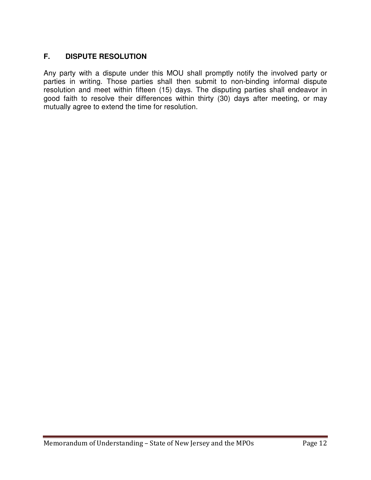## **F. DISPUTE RESOLUTION**

Any party with a dispute under this MOU shall promptly notify the involved party or parties in writing. Those parties shall then submit to non-binding informal dispute resolution and meet within fifteen (15) days. The disputing parties shall endeavor in good faith to resolve their differences within thirty (30) days after meeting, or may mutually agree to extend the time for resolution.